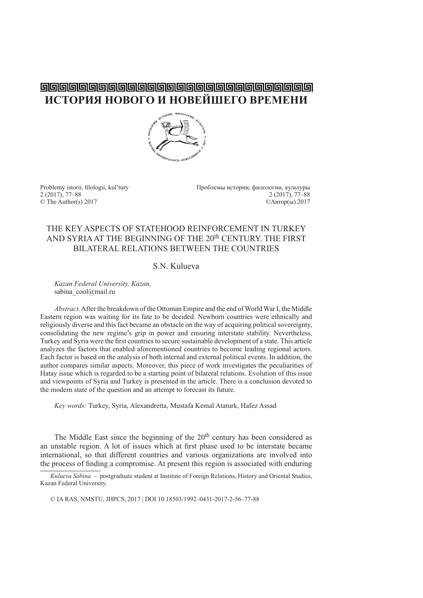# **ИСТОРИЯ НОВОГО И НОВЕЙШЕГО ВРЕМЕНИ**



2 (2017), 77–88 2 (2017), 77–88

Problemy istorii, filologii, kul'tury Проблемы истории, филологии, культуры<br>2 (2017), 77–88 2 (2017), 77–88 © The Author(s) 2017 ©Автор(ы) 2017

## THE KEY ASPECTS OF STATEHOOD REINFORCEMENT IN TURKEY AND SYRIA AT THE BEGINNING OF THE 20<sup>th</sup> CENTURY. THE FIRST BILATERAL RELATIONS BETWEEN THE COUNTRIES

## S.N. Kulueva

*Kazan Federal University, Kazan,* sabina\_cool@mail.ru

*Abstract*. After the breakdown of the Ottoman Empire and the end of World War I, the Middle Eastern region was waiting for its fate to be decided. Newborn countries were ethnically and religiously diverse and this fact became an obstacle on the way of acquiring political sovereignty, consolidating the new regime's grip in power and ensuring interstate stability. Nevertheless, Turkey and Syria were the first countries to secure sustainable development of a state. This article analyzes the factors that enabled aforementioned countries to become leading regional actors. Each factor is based on the analysis of both internal and external political events. In addition, the author compares similar aspects. Moreover, this piece of work investigates the peculiarities of Hatay issue which is regarded to be a starting point of bilateral relations. Evolution of this issue and viewpoints of Syria and Turkey is presented in the article. There is a conclusion devoted to the modern state of the question and an attempt to forecast its future.

*Key words:* Turkey, Syria, Alexandretta, Mustafa Kemal Ataturk, Hafez Assad

The Middle East since the beginning of the 20<sup>th</sup> century has been considered as an unstable region. A lot of issues which at first phase used to be interstate became international, so that different countries and various organizations are involved into the process of finding a compromise. At present this region is associated with enduring

© IA RAS, NMSTU, JHPCS, 2017 | DOI 10.18503/1992–0431-2017-2-56–77-88

*Kulueva Sabina –* postgraduate student at Institute of Foreign Relations, History and Oriental Studies, Kazan Federal University.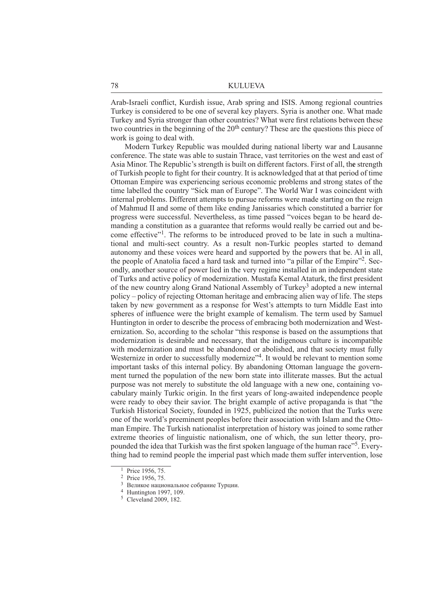Arab-Israeli conflict, Kurdish issue, Arab spring and ISIS. Among regional countries Turkey is considered to be one of several key players. Syria is another one. What made Turkey and Syria stronger than other countries? What were first relations between these two countries in the beginning of the 20<sup>th</sup> century? These are the questions this piece of work is going to deal with.

Modern Turkey Republic was moulded during national liberty war and Lausanne conference. The state was able to sustain Thrace, vast territories on the west and east of Asia Minor. The Republic's strength is built on different factors. First of all, th**e** strength of Turkish people to fight for their country. It is acknowledged that at that period of time Ottoman Empire was experiencing serious economic problems and strong states of the time labelled the country "Sick man of Europe". The World War I was coincident with internal problems. Different attempts to pursue reforms were made starting on the reign of Mahmud II and some of them like ending Janissaries which constituted a barrier for progress were successful. Nevertheless, as time passed "voices began to be heard demanding a constitution as a guarantee that reforms would really be carried out and become effective"1. The reforms to be introduced proved to be late in such a multinational and multi-sect country. As a result non-Turkic peoples started to demand autonomy and these voices were heard and supported by the powers that be. Al in all, the people of Anatolia faced a hard task and turned into "a pillar of the Empire"2. Secondly, another source of power lied in the very regime installed in an independent state of Turks and active policy of modernization. Mustafa Kemal Ataturk, the first president of the new country along Grand National Assembly of Turkey3 adopted a new internal policy – policy of rejecting Ottoman heritage and embracing alien way of life. The steps taken by new government as a response for West's attempts to turn Middle East into spheres of influence were the bright example of kemalism. The term used by Samuel Huntington in order to describe the process of embracing both modernization and Westernization. So, according to the scholar "this response is based on the assumptions that modernization is desirable and necessary, that the indigenous culture is incompatible with modernization and must be abandoned or abolished, and that society must fully Westernize in order to successfully modernize<sup>34</sup>. It would be relevant to mention some important tasks of this internal policy. By abandoning Ottoman language the government turned the population of the new born state into illiterate masses. But the actual purpose was not merely to substitute the old language with a new one, containing vocabulary mainly Turkic origin. In the first years of long-awaited independence people were ready to obey their savior. The bright example of active propaganda is that "the Turkish Historical Society, founded in 1925, publicized the notion that the Turks were one of the world's preeminent peoples before their association with Islam and the Ottoman Empire. The Turkish nationalist interpretation of history was joined to some rather extreme theories of linguistic nationalism, one of which, the sun letter theory, propounded the idea that Turkish was the first spoken language of the human race"<sup>5</sup>. Everything had to remind people the imperial past which made them suffer intervention, lose

<sup>&</sup>lt;sup>1</sup> Price 1956, 75.

<sup>2</sup> Price 1956, 75.

<sup>3</sup>Великое национальное собрание Турции. 4 Huntington 1997, 109.

<sup>5</sup> Cleveland 2009, 182.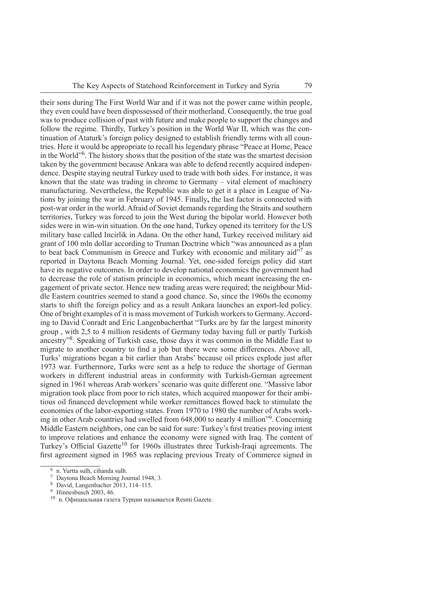their sons during The First World War and if it was not the power came within people, they even could have been dispossessed of their motherland. Consequently, the true goal was to produce collision of past with future and make people to support the changes and follow the regime. Thirdly, Turkey's position in the World War II, which was the continuation of Ataturk's foreign policy designed to establish friendly terms with all countries. Here it would be appropriate to recall his legendary phrase "Peace at Home, Peace in the World"6. The history shows that the position of the state was the smartest decision taken by the government because Ankara was able to defend recently acquired independence. Despite staying neutral Turkey used to trade with both sides. For instance, it was known that the state was trading in chrome to Germany – vital element of machinery manufacturing. Nevertheless, the Republic was able to get it a place in League of Nations by joining the war in February of 1945. Finally**,** the last factor is connected with post-war order in the world. Afraid of Soviet demands regarding the Straits and southern territories, Turkey was forced to join the West during the bipolar world. However both sides were in win-win situation. On the one hand, Turkey opened its territory for the US military base called Incirlik in Adana. On the other hand, Turkey received military aid grant of 100 mln dollar according to Truman Doctrine which "was announced as a plan to beat back Communism in Greece and Turkey with economic and military aid $\overline{17}$  as reported in Daytona Beach Morning Journal. Yet, one-sided foreign policy did start have its negative outcomes. In order to develop national economics the government had to decrease the role of statism principle in economics, which meant increasing the engagement of private sector. Hence new trading areas were required; the neighbour Middle Eastern countries seemed to stand a good chance. So, since the 1960s the economy starts to shift the foreign policy and as a result Ankara launches an export-led policy. One of bright examples of it is mass movement of Turkish workers to Germany. According to David Conradt and Eric Langenbacherthat "Turks are by far the largest minority group , with 2,5 to 4 million residents of Germany today having full or partly Turkish ancestry"8. Speaking of Turkish case, those days it was common in the Middle East to migrate to another country to find a job but there were some differences. Above all, Turks' migrations began a bit earlier than Arabs' because oil prices explode just after 1973 war. Furthermore, Turks were sent as a help to reduce the shortage of German workers in different industrial areas in conformity with Turkish-German agreement signed in 1961 whereas Arab workers' scenario was quite different one. "Massive labor migration took place from poor to rich states, which acquired manpower for their ambitious oil financed development while worker remittances flowed back to stimulate the economies of the labor-exporting states. From 1970 to 1980 the number of Arabs working in other Arab countries had swelled from 648,000 to nearly 4 million"9. Concerning Middle Eastern neighbors, one can be said for sure: Turkey's first treaties proving intent to improve relations and enhance the economy were signed with Iraq. The content of Turkey's Official Gazette<sup>10</sup> for 1960s illustrates three Turkish-Iraqi agreements. The first agreement signed in 1965 was replacing previous Treaty of Commerce signed in

<sup>6</sup> n. Yurtta sulh, cihanda sulh.

<sup>7</sup> Daytona Beach Morning Journal 1948, 3.

 $8$  David, Langenbacher 2013, 114–115.

<sup>9</sup> Hinnesbusch 2003, 46.

 $10$  n. Официальная газета Турции называется Resmi Gazete.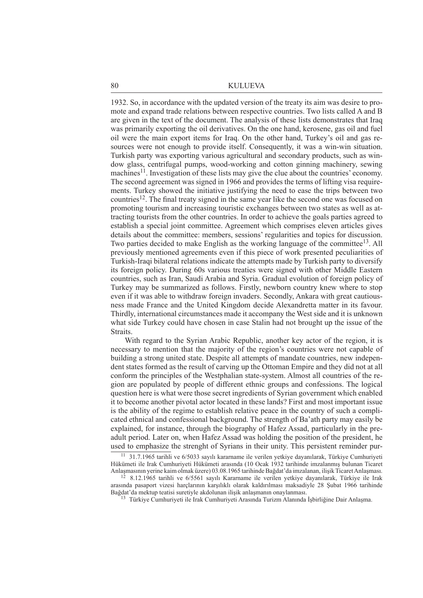1932. So, in accordance with the updated version of the treaty its aim was desire to promote and expand trade relations between respective countries. Two lists called A and B are given in the text of the document. The analysis of these lists demonstrates that Iraq was primarily exporting the oil derivatives. On the one hand, kerosene, gas oil and fuel oil were the main export items for Iraq. On the other hand, Turkey's oil and gas resources were not enough to provide itself. Consequently, it was a win-win situation. Turkish party was exporting various agricultural and secondary products, such as window glass, centrifugal pumps, wood-working and cotton ginning machinery, sewing machines<sup>11</sup>. Investigation of these lists may give the clue about the countries' economy. The second agreement was signed in 1966 and provides the terms of lifting visa requirements. Turkey showed the initiative justifying the need to ease the trips between two countries<sup>12</sup>. The final treaty signed in the same year like the second one was focused on promoting tourism and increasing touristic exchanges between two states as well as attracting tourists from the other countries. In order to achieve the goals parties agreed to establish a special joint committee. Agreement which comprises eleven articles gives details about the committee: members, sessions' regularities and topics for discussion. Two parties decided to make English as the working language of the committee<sup>13</sup>. All previously mentioned agreements even if this piece of work presented peculiarities of Turkish-Iraqi bilateral relations indicate the attempts made by Turkish party to diversify its foreign policy. During 60s various treaties were signed with other Middle Eastern countries, such as Iran, Saudi Arabia and Syria. Gradual evolution of foreign policy of Turkey may be summarized as follows. Firstly, newborn country knew where to stop even if it was able to withdraw foreign invaders. Secondly, Ankara with great cautiousness made France and the United Kingdom decide Alexandretta matter in its favour. Thirdly, international circumstances made it accompany the West side and it is unknown what side Turkey could have chosen in case Stalin had not brought up the issue of the **Straits** 

With regard to the Syrian Arabic Republic, another key actor of the region, it is necessary to mention that the majority of the region's countries were not capable of building a strong united state. Despite all attempts of mandate countries, new independent states formed as the result of carving up the Ottoman Empire and they did not at all conform the principles of the Westphalian state-system. Almost all countries of the region are populated by people of different ethnic groups and confessions. The logical question here is what were those secret ingredients of Syrian government which enabled it to become another pivotal actor located in these lands? First and most important issue is the ability of the regime to establish relative peace in the country of such a complicated ethnical and confessional background. The strength of Ba'ath party may easily be explained, for instance, through the biography of Hafez Assad, particularly in the preadult period. Later on, when Hafez Assad was holding the position of the president, he used to emphasize the strenght of Syrians in their unity. This persistent reminder pur-

<sup>11 31.7.1965</sup> tarihli ve 6/5033 sayılı kararname ile verilen yetkiye dayanılarak, Türkiye Cumhuriyeti Hükümeti ile Irak Cumhuriyeti Hükümeti arasında (10 Ocak 1932 tarihinde imzalanmış bulunan Ticaret

Anlaşmasının yerine kaim olmak üzere) 03.08.1965 tarihinde Bağdat'da imzalanan, ilişik Ticaret Anlaşması. 12 8.12.1965 tarihli ve 6/5561 sayılı Kararname ile verilen yetkiye dayanılarak, Türkiye ile Irak arasında pasaport vizesi harçlarının karşılıklı olarak kaldırılması maksadiyle 28 Şubat 1966 tarihinde

<sup>&</sup>lt;sup>13</sup> Türkiye Cumhuriyeti ile Irak Cumhuriyeti Arasında Turizm Alanında İşbirliğine Dair Anlaşma.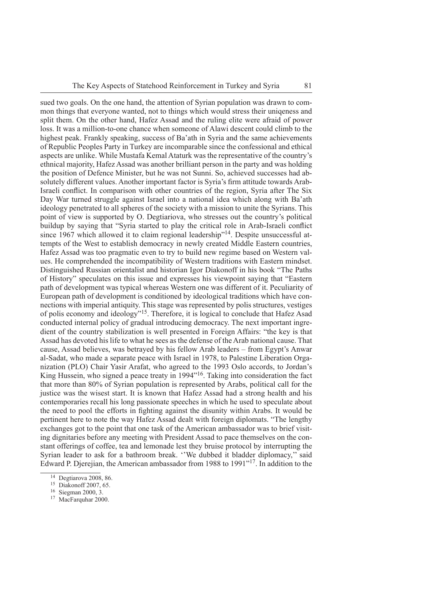sued two goals. On the one hand, the attention of Syrian population was drawn to common things that everyone wanted, not to things which would stress their uniqeness and split them. On the other hand, Hafez Assad and the ruling elite were afraid of power loss. It was a million-to-one chance when someone of Alawi descent could climb to the highest peak. Frankly speaking, success of Ba'ath in Syria and the same achievements of Republic Peoples Party in Turkey are incomparable since the confessional and ethical aspects are unlike. While Mustafa Kemal Ataturk was the representative of the country's ethnical majority, Hafez Assad was another brilliant person in the party and was holding the position of Defence Minister, but he was not Sunni. So, achieved successes had absolutely different values. Another important factor is Syria's firm attitude towards Arab-Israeli conflict. In comparison with other countries of the region, Syria after The Six Day War turned struggle against Israel into a national idea which along with Ba'ath ideology penetrated to all spheres of the society with a mission to unite the Syrians. This point of view is supported by O. Degtiariova, who stresses out the country's political buildup by saying that "Syria started to play the critical role in Arab-Israeli conflict since 1967 which allowed it to claim regional leadership"<sup>14</sup>. Despite unsuccessful attempts of the West to establish democracy in newly created Middle Eastern countries, Hafez Assad was too pragmatic even to try to build new regime based on Western values. He comprehended the incompatibility of Western traditions with Eastern mindset. Distinguished Russian orientalist and historian Igor Diakonoff in his book "The Paths of History" speculates on this issue and expresses his viewpoint saying that "Eastern path of development was typical whereas Western one was different of it. Peculiarity of European path of development is conditioned by ideological traditions which have connections with imperial antiquity. This stage was represented by polis structures, vestiges of polis economy and ideology"15. Therefore, it is logical to conclude that Hafez Asad conducted internal policy of gradual introducing democracy. The next important ingredient of the country stabilization is well presented in Foreign Affairs: "the key is that Assad has devoted his life to what he sees as the defense of the Arab national cause. That cause, Assad believes, was betrayed by his fellow Arab leaders – from Egypt's Anwar al-Sadat, who made a separate peace with Israel in 1978, to Palestine Liberation Organization (PLO) Chair Yasir Arafat, who agreed to the 1993 Oslo accords, to Jordan's King Hussein, who signed a peace treaty in 1994<sup>716</sup>. Taking into consideration the fact that more than 80% of Syrian population is represented by Arabs, political call for the justice was the wisest start. It is known that Hafez Assad had a strong health and his contemporaries recall his long passionate speeches in which he used to speculate about the need to pool the efforts in fighting against the disunity within Arabs. It would be pertinent here to note the way Hafez Assad dealt with foreign diplomats. "The lengthy exchanges got to the point that one task of the American ambassador was to brief visiting dignitaries before any meeting with President Assad to pace themselves on the constant offerings of coffee, tea and lemonade lest they bruise protocol by interrupting the Syrian leader to ask for a bathroom break. ''We dubbed it bladder diplomacy,'' said Edward P. Djerejian, the American ambassador from 1988 to 1991"17. In addition to the

 $14$  Degtiarova 2008, 86.

<sup>15</sup> Diakonoff 2007, 65.

<sup>16</sup> Siegman 2000, 3.

<sup>17</sup> MacFarquhar 2000.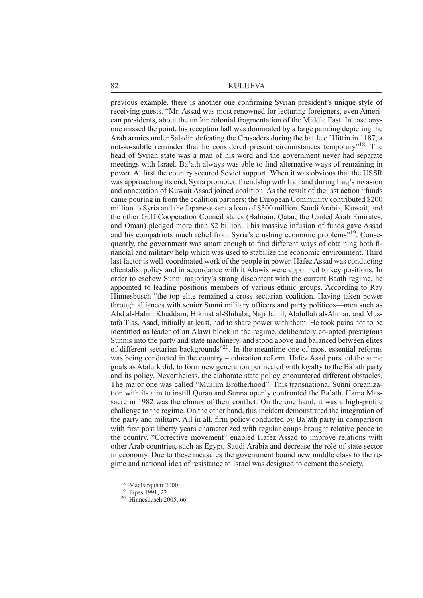previous example, there is another one confirming Syrian president's unique style of receiving guests. "Mr. Assad was most renowned for lecturing foreigners, even American presidents, about the unfair colonial fragmentation of the Middle East. In case anyone missed the point, his reception hall was dominated by a large painting depicting the Arab armies under Saladin defeating the Crusaders during the battle of Hittin in 1187, a not-so-subtle reminder that he considered present circumstances temporary"18. The head of Syrian state was a man of his word and the government never had separate meetings with Israel. Ba'ath always was able to find alternative ways of remaining in power. At first the country secured Soviet support. When it was obvious that the USSR was approaching its end, Syria promoted friendship with Iran and during Iraq's invasion and annexation of Kuwait Assad joined coalition. As the result of the last action "funds came pouring in from the coalition partners: the European Community contributed \$200 million to Syria and the Japanese sent a loan of \$500 million. Saudi Arabia, Kuwait, and the other Gulf Cooperation Council states (Bahrain, Qatar, the United Arab Emirates, and Oman) pledged more than \$2 billion. This massive infusion of funds gave Assad and his compatriots much relief from Syria's crushing economic problems"19. Consequently, the government was smart enough to find different ways of obtaining both financial and military help which was used to stabilize the economic environment. Third last factor is well-coordinated work of the people in power. Hafez Assad was conducting clientalist policy and in accordance with it Alawis were appointed to key positions. In order to eschew Sunni majority's strong discontent with the current Baath regime, he appointed to leading positions members of various ethnic groups. According to Ray Hinnesbusch "the top elite remained a cross sectarian coalition. Having taken power through alliances with senior Sunni military officers and party politicos—men such as Abd al-Halim Khaddam, Hikmat al-Shihabi, Naji Jamil, Abdullah al-Ahmar, and Mustafa Tlas, Asad, initially at least, had to share power with them. He took pains not to be identified as leader of an Alawi block in the regime, deliberately co-opted prestigious Sunnis into the party and state machinery, and stood above and balanced between elites of different sectarian backgrounds"20. In the meantime one of most essential reforms was being conducted in the country – education reform. Hafez Asad pursued the same goals as Ataturk did: to form new generation permeated with loyalty to the Ba'ath party and its policy. Nevertheless, the elaborate state policy encountered different obstacles. The major one was called "Muslim Brotherhood". This transnational Sunni organization with its aim to instill Quran and Sunna openly confronted the Ba'ath. Hama Massacre in 1982 was the climax of their conflict. On the one hand, it was a high-profile challenge to the regime. On the other hand, this incident demonstrated the integration of the party and military. All in all, firm policy conducted by Ba'ath party in comparison with first post liberty years characterized with regular coups brought relative peace to the country. "Corrective movement" enabled Hafez Assad to improve relations with other Arab countries, such as Egypt, Saudi Arabia and decrease the role of state sector in economy. Due to these measures the government bound new middle class to the regime and national idea of resistance to Israel was designed to cement the society.

<sup>&</sup>lt;sup>18</sup> MacFarquhar 2000.

<sup>19</sup> Pipes 1991, 22.

<sup>20</sup> Hinnesbusch 2005, 66.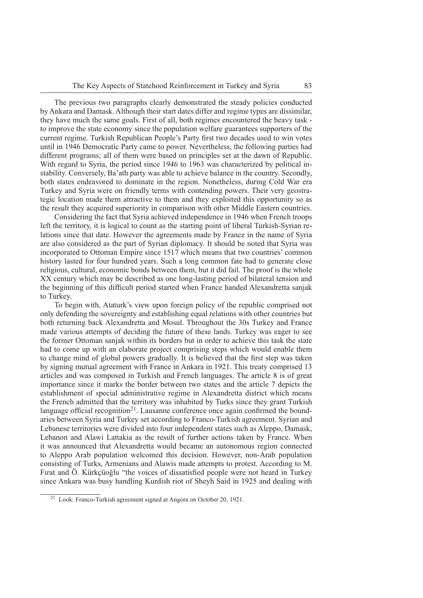The previous two paragraphs clearly demonstrated the steady policies conducted by Ankara and Damask. Although their start dates differ and regime types are dissimilar, they have much the same goals. First of all, both regimes encountered the heavy task to improve the state economy since the population welfare guarantees supporters of the current regime. Turkish Republican People's Party first two decades used to win votes until in 1946 Democratic Party came to power. Nevertheless, the following parties had different programs; all of them were based on principles set at the dawn of Republic. With regard to Syria, the period since 1946 to 1963 was characterized by political instability. Conversely, Ba'ath party was able to achieve balance in the country. Secondly, both states endeavored to dominate in the region. Nonetheless, during Cold War era Turkey and Syria were on friendly terms with contending powers. Their very geostrategic location made them attractive to them and they exploited this opportunity so as the result they acquired superiority in comparison with other Middle Eastern countries.

Considering the fact that Syria achieved independence in 1946 when French troops left the territory, it is logical to count as the starting point of liberal Turkish-Syrian relations since that date. However the agreements made by France in the name of Syria are also considered as the part of Syrian diplomacy. It should be noted that Syria was incorporated to Ottoman Empire since 1517 which means that two countries' common history lasted for four hundred years. Such a long common fate had to generate close religious, cultural, economic bonds between them, but it did fail. The proof is the whole XX century which may be described as one long-lasting period of bilateral tension and the beginning of this difficult period started when France handed Alexandretta sanjak to Turkey.

To begin with, Ataturk's view upon foreign policy of the republic comprised not only defending the sovereignty and establishing equal relations with other countries but both returning back Alexandretta and Mosul. Throughout the 30s Turkey and France made various attempts of deciding the future of these lands. Turkey was eager to see the former Ottoman sanjak within its borders but in order to achieve this task the state had to come up with an elaborate project comprising steps which would enable them to change mind of global powers gradually. It is believed that the first step was taken by signing mutual agreement with France in Ankara in 1921. This treaty comprised 13 articles and was composed in Turkish and French languages. The article 8 is of great importance since it marks the border between two states and the article 7 depicts the establishment of special administrative regime in Alexandretta district which means the French admitted that the territory was inhabited by Turks since they grant Turkish language official recognition<sup>21</sup>. Lausanne conference once again confirmed the boundaries between Syria and Turkey set according to Franco-Turkish agreement. Syrian and Lebanese territories were divided into four independent states such as Aleppo, Damask, Lebanon and Alawi Lattakia as the result of further actions taken by France. When it was announced that Alexandretta would became an autonomous region connected to Aleppo Arab population welcomed this decision. However, non-Arab population consisting of Turks, Armenians and Alawis made attempts to protest. According to M. Firat and Ö. Kürkçüoğlu "the voices of dissatisfied people were not heard in Turkey since Ankara was busy handling Kurdish riot of Sheyh Said in 1925 and dealing with

<sup>21</sup> Look: Franco-Turkish agreement signed at Angora on October 20, 1921.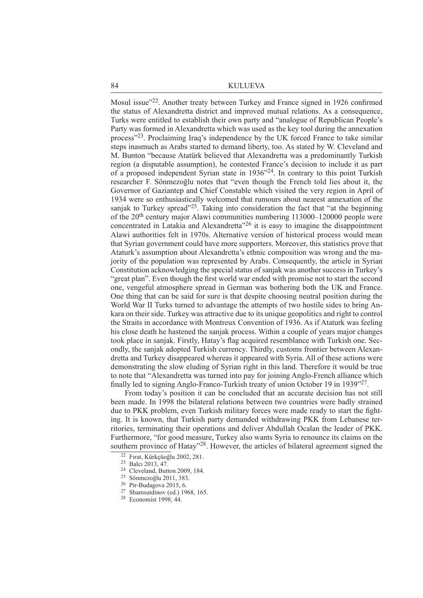Mosul issue"<sup>22</sup>. Another treaty between Turkey and France signed in 1926 confirmed the status of Alexandretta district and improved mutual relations. As a consequence, Turks were entitled to establish their own party and "analogue of Republican People's Party was formed in Alexandretta which was used as the key tool during the annexation process"23. Proclaiming Iraq's independence by the UK forced France to take similar steps inasmuch as Arabs started to demand liberty, too. As stated by W. Cleveland and M. Bunton "because Atatürk believed that Alexandretta was a predominantly Turkish region (a disputable assumption), he contested France's decision to include it as part of a proposed independent Syrian state in 1936"24. In contrary to this point Turkish researcher F. Sönmezoğlu notes that "even though the French told lies about it, the Governor of Gaziantep and Chief Constable which visited the very region in April of 1934 were so enthusiastically welcomed that rumours about nearest annexation of the sanjak to Turkey spread"<sup>25</sup>. Taking into consideration the fact that "at the beginning" of the 20th century major Alawi communities numbering 113000–120000 people were concentrated in Latakia and Alexandretta"26 it is easy to imagine the disappointment Alawi authorities felt in 1970s. Alternative version of historical process would mean that Syrian government could have more supporters. Moreover, this statistics prove that Ataturk's assumption about Alexandretta's ethnic composition was wrong and the majority of the population was represented by Arabs. Consequently, the article in Syrian Constitution acknowledging the special status of sanjak was another success in Turkey's "great plan". Even though the first world war ended with promise not to start the second one, vengeful atmosphere spread in German was bothering both the UK and France. One thing that can be said for sure is that despite choosing neutral position during the World War II Turks turned to advantage the attempts of two hostile sides to bring Ankara on their side. Turkey was attractive due to its unique geopolitics and right to control the Straits in accordance with Montreux Convention of 1936. As if Ataturk was feeling his close death he hastened the sanjak process. Within a couple of years major changes took place in sanjak. Firstly, Hatay's flag acquired resemblance with Turkish one. Secondly, the sanjak adopted Turkish currency. Thirdly, customs frontier between Alexandretta and Turkey disappeared whereas it appeared with Syria. All of these actions were demonstrating the slow eluding of Syrian right in this land. Therefore it would be true to note that "Alexandretta was turned into pay for joining Anglo-French alliance which finally led to signing Anglo-Franco-Turkish treaty of union October 19 in 1939<sup>"27</sup>.

From today's position it can be concluded that an accurate decision has not still been made. In 1998 the bilateral relations between two countries were badly strained due to PKK problem, even Turkish military forces were made ready to start the fighting. It is known, that Turkish party demanded withdrawing PKK from Lebanese territories, terminating their operations and deliver Abdullah Ocalan the leader of PKK. Furthermore, "for good measure, Turkey also wants Syria to renounce its claims on the southern province of Hatay"<sup>28</sup>. However, the articles of bilateral agreement signed the

<sup>22</sup> Fırat, Kürkçüoğlu 2002, 281.

<sup>23</sup> Balcı 2013, 47.

<sup>24</sup> Cleveland, Button 2009, 184.

<sup>25</sup> Sönmezoğlu 2011, 383.

<sup>26</sup> Pir-Budagova 2015, 6.

<sup>27</sup> Shamsutdinov (ed.) 1968, 165.

<sup>28</sup> Economist 1998, 44.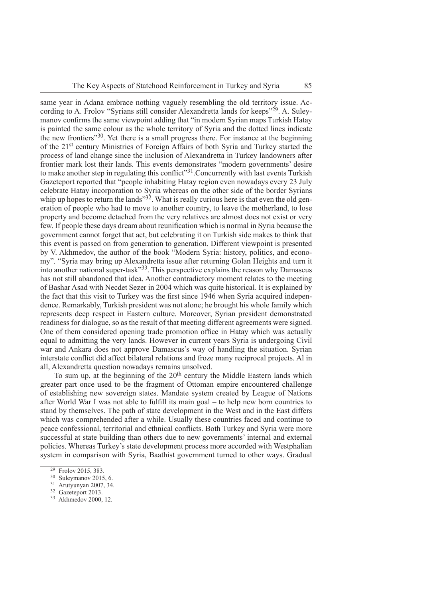same year in Adana embrace nothing vaguely resembling the old territory issue. According to A. Frolov "Syrians still consider Alexandretta lands for keeps"<sup>29</sup>. A. Suleymanov confirms the same viewpoint adding that "in modern Syrian maps Turkish Hatay is painted the same colour as the whole territory of Syria and the dotted lines indicate the new frontiers"30. Yet there is a small progress there. For instance at the beginning of the 21st century Ministries of Foreign Affairs of both Syria and Turkey started the process of land change since the inclusion of Alexandretta in Turkey landowners after frontier mark lost their lands. This events demonstrates "modern governments' desire to make another step in regulating this conflict<sup>"31</sup>. Concurrently with last events Turkish Gazeteport reported that "people inhabiting Hatay region even nowadays every 23 July celebrate Hatay incorporation to Syria whereas on the other side of the border Syrians whip up hopes to return the lands<sup> $32$ </sup>. What is really curious here is that even the old generation of people who had to move to another country, to leave the motherland, to lose property and become detached from the very relatives are almost does not exist or very few. If people these days dream about reunification which is normal in Syria because the government cannot forget that act, but celebrating it on Turkish side makes to think that this event is passed on from generation to generation. Different viewpoint is presented by V. Akhmedov, the author of the book "Modern Syria: history, politics, and economy". "Syria may bring up Alexandretta issue after returning Golan Heights and turn it into another national super-task"33. This perspective explains the reason why Damascus has not still abandoned that idea. Another contradictory moment relates to the meeting of Bashar Asad with Necdet Sezer in 2004 which was quite historical. It is explained by the fact that this visit to Turkey was the first since 1946 when Syria acquired independence. Remarkably, Turkish president was not alone; he brought his whole family which represents deep respect in Eastern culture. Moreover, Syrian president demonstrated readiness for dialogue, so as the result of that meeting different agreements were signed. One of them considered opening trade promotion office in Hatay which was actually equal to admitting the very lands. However in current years Syria is undergoing Civil war and Ankara does not approve Damascus's way of handling the situation. Syrian interstate conflict did affect bilateral relations and froze many reciprocal projects. Al in all, Alexandretta question nowadays remains unsolved.

To sum up, at the beginning of the 20<sup>th</sup> century the Middle Eastern lands which greater part once used to be the fragment of Ottoman empire encountered challenge of establishing new sovereign states. Mandate system created by League of Nations after World War I was not able to fulfill its main goal – to help new born countries to stand by themselves. The path of state development in the West and in the East differs which was comprehended after a while. Usually these countries faced and continue to peace confessional, territorial and ethnical conflicts. Both Turkey and Syria were more successful at state building than others due to new governments' internal and external policies. Whereas Turkey's state development process more accorded with Westphalian system in comparison with Syria, Baathist government turned to other ways. Gradual

 $29$  Frolov 2015, 383.

<sup>30</sup> Suleymanov 2015, 6.

<sup>31</sup> Arutyunyan 2007, 34.

<sup>&</sup>lt;sup>32</sup> Gazeteport 2013.

<sup>33</sup> Akhmedov 2000, 12.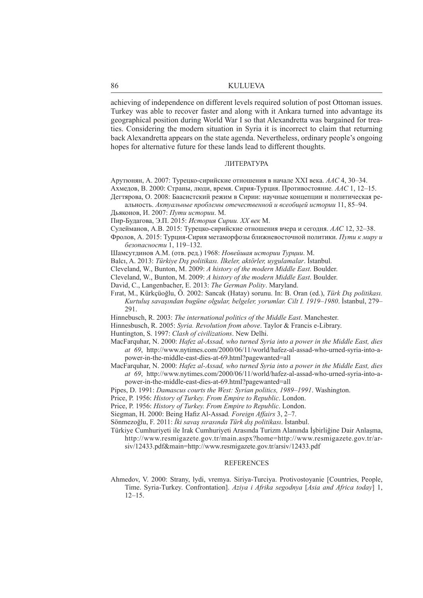achieving of independence on different levels required solution of post Ottoman issues. Turkey was able to recover faster and along with it Ankara turned into advantage its geographical position during World War I so that Alexandretta was bargained for treaties. Considering the modern situation in Syria it is incorrect to claim that returning back Alexandretta appears on the state agenda. Nevertheless, ordinary people's ongoing hopes for alternative future for these lands lead to different thoughts.

#### ЛИТЕРАТУРА

Арутюнян, А. 2007: Турецко-сирийские отношения в начале ХХI века. *ААС* 4, 30–34. Ахмедов, В. 2000: Страны, люди, время. Сирия-Турция. Противостояние*. ААС* 1, 12–15. Дегтярова, О. 2008: Баасистский режим в Сирии: научные концепции и политическая ре-

альность. *Актуальные проблемы отечественной и всеобщей истории* 11, 85–94. Дьяконов, И. 2007: *Пути истории*. М.

Пир-Будагова, Э.П. 2015: *История Сирии. ХХ век* М.

Сулейманов, А.В. 2015: Турецко-сирийские отношения вчера и сегодня. *ААС* 12, 32–38.

Фролов, А. 2015: Турция-Сирия метаморфозы ближневосточной политики. *Пути к миру и безопасности* 1, 119–132.

Шамсутдинов А.М. (отв. ред.) 1968: *Новейшая истории Турции*. М.

Balcı, A. 2013: *Türkiye Dış politikası. İlkeler, aktörler, uygulamalar*. İstanbul.

Cleveland, W., Bunton, M. 2009: *A history of the modern Middle East*. Boulder.

Cleveland, W., Bunton, M. 2009: *A history of the modern Middle East*. Boulder.

David, C., Langenbacher, E. 2013: *The German Polity*. Maryland.

Fırat, M., Kürkçüoğlu, Ö. 2002: Sancak (Hatay) sorunu. In: B. Oran (ed.), *Türk Dış politikası. Kurtuluş savaşından bugüne olgular, belgeler, yorumlar. Cilt I. 1919–1980*. İstanbul, 279– 291.

Hinnebusch, R. 2003: *The international politics of the Middle East*. Manchester.

Hinnesbusch, R. 2005: *Syria. Revolution from above*. Taylor & Francis e-Library.

Huntington, S. 1997: *Clash of civilizations*. New Delhi.

- MacFarquhar, N. 2000: *Hafez al-Assad, who turned Syria into a power in the Middle East, dies at 69*, http://www.nytimes.com/2000/06/11/world/hafez-al-assad-who-urned-syria-into-apower-in-the-middle-east-dies-at-69.html?pagewanted=all
- MacFarquhar, N. 2000: *Hafez al-Assad, who turned Syria into a power in the Middle East, dies at 69*, http://www.nytimes.com/2000/06/11/world/hafez-al-assad-who-urned-syria-into-apower-in-the-middle-east-dies-at-69.html?pagewanted=all

Pipes, D. 1991: *Damascus courts the West: Syrian politics, 1989–1991*. Washington.

Price, P. 1956: *History of Turkey. From Empire to Republic*. London.

Price, P. 1956: *History of Turkey. From Empire to Republic*. London.

Siegman, H. 2000: Being Hafiz Al-Assad. Foreign Affairs 3, 2-7.

Sönmezoğlu, F. 2011: *İki savaş sırasında Türk dış politikası*. İstanbul.

Türkiye Cumhuriyeti ile Irak Cumhuriyeti Arasında Turizm Alanında İşbirliğine Dair Anlaşma, http://www.resmigazete.gov.tr/main.aspx?home=http://www.resmigazete.gov.tr/arsiv/12433.pdf&main=http://www.resmigazete.gov.tr/arsiv/12433.pdf

### **REFERENCES**

Ahmedov, V. 2000: Strany, lydi, vremya. Siriya-Turciya. Protivostoyanie [Countries, People, Time. Syria-Turkey. Confrontation]. *Aziya i Afrika segodnya* [*Asia and Africa today*] 1, 12–15.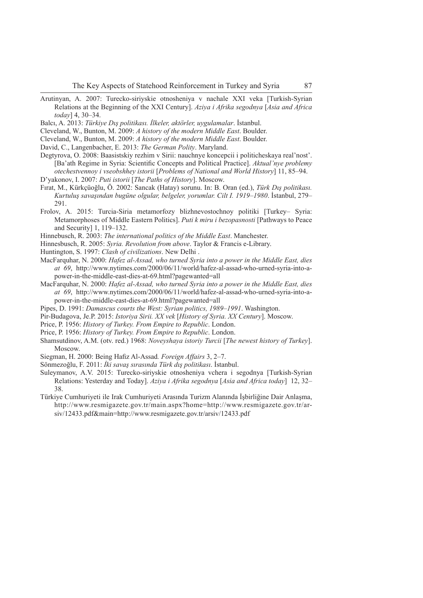- Arutinyan, A. 2007: Turecko-siriyskie otnosheniya v nachale XXI veka [Turkish-Syrian Relations at the Beginning of the XXI Century]. *Aziya i Afrika segodnya* [*Asia and Africa today*] 4, 30–34.
- Balcı, A. 2013: *Türkiye Dış politikası. İlkeler, aktörler, uygulamalar*. İstanbul.
- Cleveland, W., Bunton, M. 2009: *A history of the modern Middle East*. Boulder.
- Cleveland, W., Bunton, M. 2009: *A history of the modern Middle East*. Boulder.
- David, C., Langenbacher, E. 2013: *The German Polity*. Maryland.
- Degtyrova, O. 2008: Baasistskiy rezhim v Sirii: nauchnye koncepcii i politicheskaya real'nost'. [Ba'ath Regime in Syria: Scientifi c Concepts and Political Practice]. *Aktual'nye problemy otechestvennoy i vseobshhey istorii* [*Problems of National and World History*] 11, 85–94.
- D'yakonov, I. 2007: *Puti istorii* [*The Paths of History*]. Moscow.
- Fırat, M., Kürkçüoğlu, Ö. 2002: Sancak (Hatay) sorunu. In: B. Oran (ed.), *Türk Dış politikası. Kurtuluş savaşından bugüne olgular, belgeler, yorumlar. Cilt I. 1919–1980*. İstanbul, 279– 291.
- Frolov, A. 2015: Turcia-Siria metamorfozy blizhnevostochnoy politiki [Turkey– Syria: Metamorphoses of Middle Eastern Politics]. *Puti k miru i bezopasnosti* [Pathways to Peace and Security] 1, 119–132.
- Hinnebusch, R. 2003: *The international politics of the Middle East*. Manchester.
- Hinnesbusch, R. 2005: *Syria. Revolution from above*. Taylor & Francis e-Library.
- Huntington, S. 1997: *Clash of civilizations*. New Delhi .
- MacFarquhar, N. 2000: *Hafez al-Assad, who turned Syria into a power in the Middle East, dies at 69*, http://www.nytimes.com/2000/06/11/world/hafez-al-assad-who-urned-syria-into-apower-in-the-middle-east-dies-at-69.html?pagewanted=all
- MacFarquhar, N. 2000: *Hafez al-Assad, who turned Syria into a power in the Middle East, dies at 69*, http://www.nytimes.com/2000/06/11/world/hafez-al-assad-who-urned-syria-into-apower-in-the-middle-east-dies-at-69.html?pagewanted=all
- Pipes, D. 1991: *Damascus courts the West: Syrian politics, 1989–1991*. Washington.
- Pir-Budagova, Je.P. 2015: *Istoriya Sirii. XX vek* [*History of Syria. XX Century*]. Moscow.
- Price, P. 1956: *History of Turkey. From Empire to Republic*. London.
- Price, P. 1956: *History of Turkey. From Empire to Republic*. London.
- Shamsutdinov, A.M. (otv. red.) 1968: *Noveyshaya istoriy Turcii* [*The newest history of Turkey*]. Moscow.
- Siegman, H. 2000: Being Hafiz Al-Assad. *Foreign Affairs* 3, 2–7.
- Sönmezoğlu, F. 2011: *İki savaş sırasında Türk dış politikası*. İstanbul.
- Suleymanov, A.V. 2015: Turecko-siriyskie otnosheniya vchera i segodnya [Turkish-Syrian Relations: Yesterday and Today]. *Aziya i Afrika segodnya* [*Asia and Africa today*] 12, 32– 38.
- Türkiye Cumhuriyeti ile Irak Cumhuriyeti Arasında Turizm Alanında İşbirliğine Dair Anlaşma, http://www.resmigazete.gov.tr/main.aspx?home=http://www.resmigazete.gov.tr/arsiv/12433.pdf&main=http://www.resmigazete.gov.tr/arsiv/12433.pdf